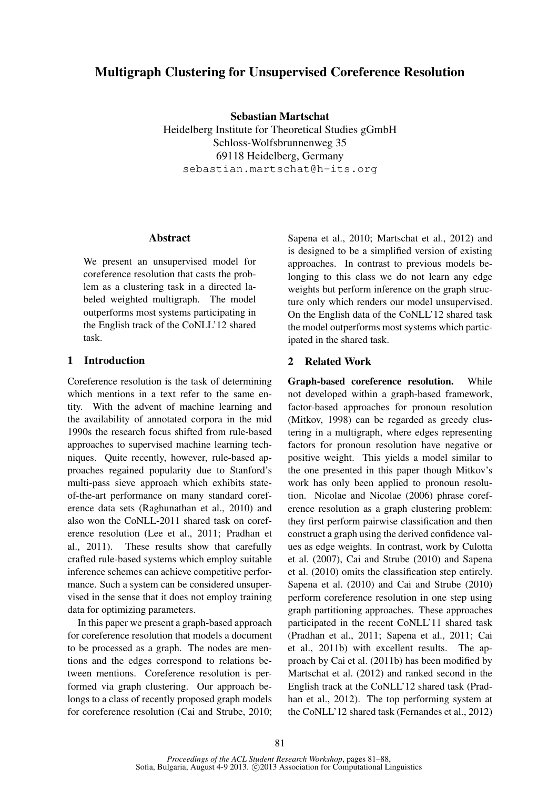# Multigraph Clustering for Unsupervised Coreference Resolution

Sebastian Martschat Heidelberg Institute for Theoretical Studies gGmbH Schloss-Wolfsbrunnenweg 35 69118 Heidelberg, Germany sebastian.martschat@h-its.org

# **Abstract**

We present an unsupervised model for coreference resolution that casts the problem as a clustering task in a directed labeled weighted multigraph. The model outperforms most systems participating in the English track of the CoNLL'12 shared task.

# 1 Introduction

Coreference resolution is the task of determining which mentions in a text refer to the same entity. With the advent of machine learning and the availability of annotated corpora in the mid 1990s the research focus shifted from rule-based approaches to supervised machine learning techniques. Quite recently, however, rule-based approaches regained popularity due to Stanford's multi-pass sieve approach which exhibits stateof-the-art performance on many standard coreference data sets (Raghunathan et al., 2010) and also won the CoNLL-2011 shared task on coreference resolution (Lee et al., 2011; Pradhan et al., 2011). These results show that carefully crafted rule-based systems which employ suitable inference schemes can achieve competitive performance. Such a system can be considered unsupervised in the sense that it does not employ training data for optimizing parameters.

In this paper we present a graph-based approach for coreference resolution that models a document to be processed as a graph. The nodes are mentions and the edges correspond to relations between mentions. Coreference resolution is performed via graph clustering. Our approach belongs to a class of recently proposed graph models for coreference resolution (Cai and Strube, 2010;

Sapena et al., 2010; Martschat et al., 2012) and is designed to be a simplified version of existing approaches. In contrast to previous models belonging to this class we do not learn any edge weights but perform inference on the graph structure only which renders our model unsupervised. On the English data of the CoNLL'12 shared task the model outperforms most systems which participated in the shared task.

# 2 Related Work

Graph-based coreference resolution. While not developed within a graph-based framework, factor-based approaches for pronoun resolution (Mitkov, 1998) can be regarded as greedy clustering in a multigraph, where edges representing factors for pronoun resolution have negative or positive weight. This yields a model similar to the one presented in this paper though Mitkov's work has only been applied to pronoun resolution. Nicolae and Nicolae (2006) phrase coreference resolution as a graph clustering problem: they first perform pairwise classification and then construct a graph using the derived confidence values as edge weights. In contrast, work by Culotta et al. (2007), Cai and Strube (2010) and Sapena et al. (2010) omits the classification step entirely. Sapena et al. (2010) and Cai and Strube (2010) perform coreference resolution in one step using graph partitioning approaches. These approaches participated in the recent CoNLL'11 shared task (Pradhan et al., 2011; Sapena et al., 2011; Cai et al., 2011b) with excellent results. The approach by Cai et al. (2011b) has been modified by Martschat et al. (2012) and ranked second in the English track at the CoNLL'12 shared task (Pradhan et al., 2012). The top performing system at the CoNLL'12 shared task (Fernandes et al., 2012)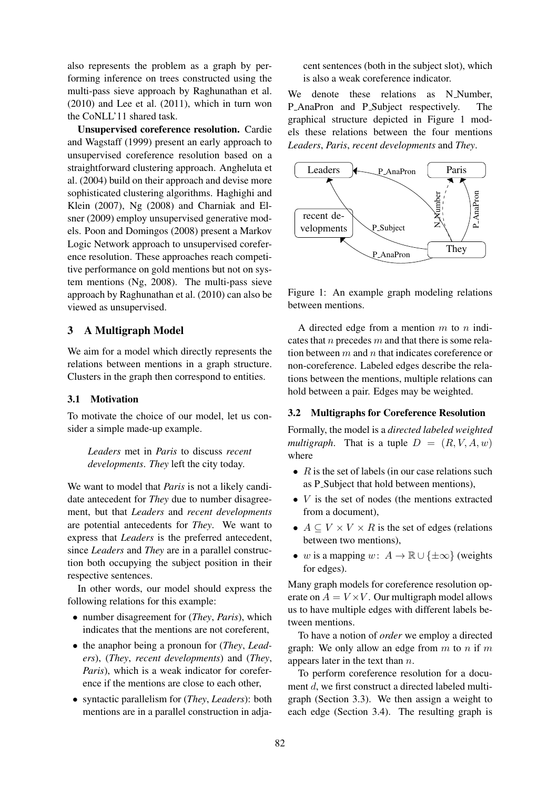also represents the problem as a graph by performing inference on trees constructed using the multi-pass sieve approach by Raghunathan et al. (2010) and Lee et al. (2011), which in turn won the CoNLL'11 shared task.

Unsupervised coreference resolution. Cardie and Wagstaff (1999) present an early approach to unsupervised coreference resolution based on a straightforward clustering approach. Angheluta et al. (2004) build on their approach and devise more sophisticated clustering algorithms. Haghighi and Klein (2007), Ng (2008) and Charniak and Elsner (2009) employ unsupervised generative models. Poon and Domingos (2008) present a Markov Logic Network approach to unsupervised coreference resolution. These approaches reach competitive performance on gold mentions but not on system mentions (Ng, 2008). The multi-pass sieve approach by Raghunathan et al. (2010) can also be viewed as unsupervised.

# 3 A Multigraph Model

We aim for a model which directly represents the relations between mentions in a graph structure. Clusters in the graph then correspond to entities.

### 3.1 Motivation

To motivate the choice of our model, let us consider a simple made-up example.

*Leaders* met in *Paris* to discuss *recent developments*. *They* left the city today.

We want to model that *Paris* is not a likely candidate antecedent for *They* due to number disagreement, but that *Leaders* and *recent developments* are potential antecedents for *They*. We want to express that *Leaders* is the preferred antecedent, since *Leaders* and *They* are in a parallel construction both occupying the subject position in their respective sentences.

In other words, our model should express the following relations for this example:

- number disagreement for (*They*, *Paris*), which indicates that the mentions are not coreferent,
- the anaphor being a pronoun for (*They*, *Leaders*), (*They*, *recent developments*) and (*They*, *Paris*), which is a weak indicator for coreference if the mentions are close to each other,
- syntactic parallelism for (*They*, *Leaders*): both mentions are in a parallel construction in adja-

cent sentences (both in the subject slot), which is also a weak coreference indicator.

We denote these relations as N Number, P\_AnaPron and P\_Subject respectively. The graphical structure depicted in Figure 1 models these relations between the four mentions *Leaders*, *Paris*, *recent developments* and *They*.



Figure 1: An example graph modeling relations between mentions.

A directed edge from a mention  $m$  to  $n$  indicates that  $n$  precedes  $m$  and that there is some relation between  $m$  and  $n$  that indicates coreference or non-coreference. Labeled edges describe the relations between the mentions, multiple relations can hold between a pair. Edges may be weighted.

## 3.2 Multigraphs for Coreference Resolution

Formally, the model is a *directed labeled weighted multigraph*. That is a tuple  $D = (R, V, A, w)$ where

- $R$  is the set of labels (in our case relations such as P<sub>-Subject</sub> that hold between mentions),
- $V$  is the set of nodes (the mentions extracted from a document),
- $A \subseteq V \times V \times R$  is the set of edges (relations between two mentions),
- w is a mapping w:  $A \to \mathbb{R} \cup \{\pm \infty\}$  (weights for edges).

Many graph models for coreference resolution operate on  $A = V \times V$ . Our multigraph model allows us to have multiple edges with different labels between mentions.

To have a notion of *order* we employ a directed graph: We only allow an edge from  $m$  to  $n$  if  $m$ appears later in the text than n.

To perform coreference resolution for a document d, we first construct a directed labeled multigraph (Section 3.3). We then assign a weight to each edge (Section 3.4). The resulting graph is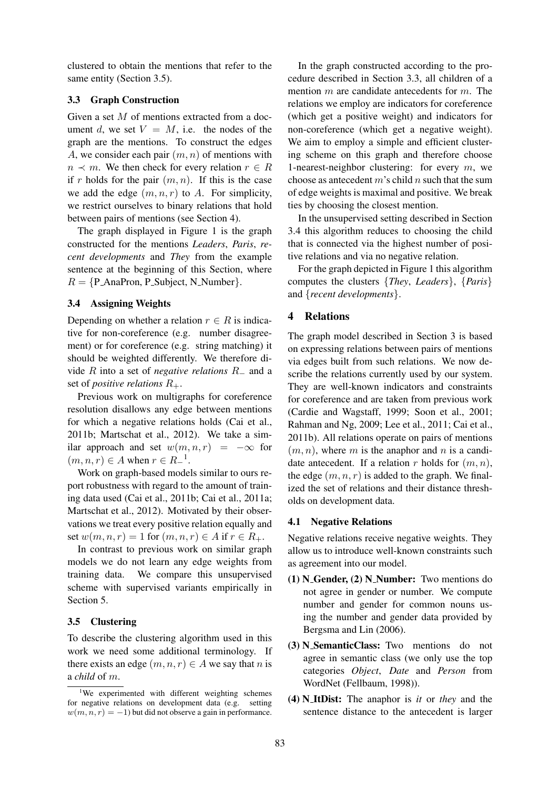clustered to obtain the mentions that refer to the same entity (Section 3.5).

# 3.3 Graph Construction

Given a set M of mentions extracted from a document d, we set  $V = M$ , i.e. the nodes of the graph are the mentions. To construct the edges A, we consider each pair  $(m, n)$  of mentions with  $n \prec m$ . We then check for every relation  $r \in R$ if r holds for the pair  $(m, n)$ . If this is the case we add the edge  $(m, n, r)$  to A. For simplicity, we restrict ourselves to binary relations that hold between pairs of mentions (see Section 4).

The graph displayed in Figure 1 is the graph constructed for the mentions *Leaders*, *Paris*, *recent developments* and *They* from the example sentence at the beginning of this Section, where  $R = {P_{Ana}Pron, P_{Subject, N_{Number}}}.$ 

# 3.4 Assigning Weights

Depending on whether a relation  $r \in R$  is indicative for non-coreference (e.g. number disagreement) or for coreference (e.g. string matching) it should be weighted differently. We therefore divide R into a set of *negative relations* R<sup>−</sup> and a set of *positive relations* R+.

Previous work on multigraphs for coreference resolution disallows any edge between mentions for which a negative relations holds (Cai et al., 2011b; Martschat et al., 2012). We take a similar approach and set  $w(m, n, r) = -\infty$  for  $(m, n, r) \in A$  when  $r \in R_-\mathbf{1}$ .

Work on graph-based models similar to ours report robustness with regard to the amount of training data used (Cai et al., 2011b; Cai et al., 2011a; Martschat et al., 2012). Motivated by their observations we treat every positive relation equally and set  $w(m, n, r) = 1$  for  $(m, n, r) \in A$  if  $r \in R_+$ .

In contrast to previous work on similar graph models we do not learn any edge weights from training data. We compare this unsupervised scheme with supervised variants empirically in Section 5.

# 3.5 Clustering

To describe the clustering algorithm used in this work we need some additional terminology. If there exists an edge  $(m, n, r) \in A$  we say that n is a *child* of m.

In the graph constructed according to the procedure described in Section 3.3, all children of a mention  $m$  are candidate antecedents for  $m$ . The relations we employ are indicators for coreference (which get a positive weight) and indicators for non-coreference (which get a negative weight). We aim to employ a simple and efficient clustering scheme on this graph and therefore choose 1-nearest-neighbor clustering: for every  $m$ , we choose as antecedent  $m$ 's child  $n$  such that the sum of edge weights is maximal and positive. We break ties by choosing the closest mention.

In the unsupervised setting described in Section 3.4 this algorithm reduces to choosing the child that is connected via the highest number of positive relations and via no negative relation.

For the graph depicted in Figure 1 this algorithm computes the clusters {*They*, *Leaders*}, {*Paris*} and {*recent developments*}.

# 4 Relations

The graph model described in Section 3 is based on expressing relations between pairs of mentions via edges built from such relations. We now describe the relations currently used by our system. They are well-known indicators and constraints for coreference and are taken from previous work (Cardie and Wagstaff, 1999; Soon et al., 2001; Rahman and Ng, 2009; Lee et al., 2011; Cai et al., 2011b). All relations operate on pairs of mentions  $(m, n)$ , where m is the anaphor and n is a candidate antecedent. If a relation r holds for  $(m, n)$ , the edge  $(m, n, r)$  is added to the graph. We finalized the set of relations and their distance thresholds on development data.

## 4.1 Negative Relations

Negative relations receive negative weights. They allow us to introduce well-known constraints such as agreement into our model.

- $(1)$  N\_Gender,  $(2)$  N\_Number: Two mentions do not agree in gender or number. We compute number and gender for common nouns using the number and gender data provided by Bergsma and Lin (2006).
- (3) N SemanticClass: Two mentions do not agree in semantic class (we only use the top categories *Object*, *Date* and *Person* from WordNet (Fellbaum, 1998)).
- (4) N ItDist: The anaphor is *it* or *they* and the sentence distance to the antecedent is larger

<sup>&</sup>lt;sup>1</sup>We experimented with different weighting schemes for negative relations on development data (e.g. setting  $w(m, n, r) = -1$ ) but did not observe a gain in performance.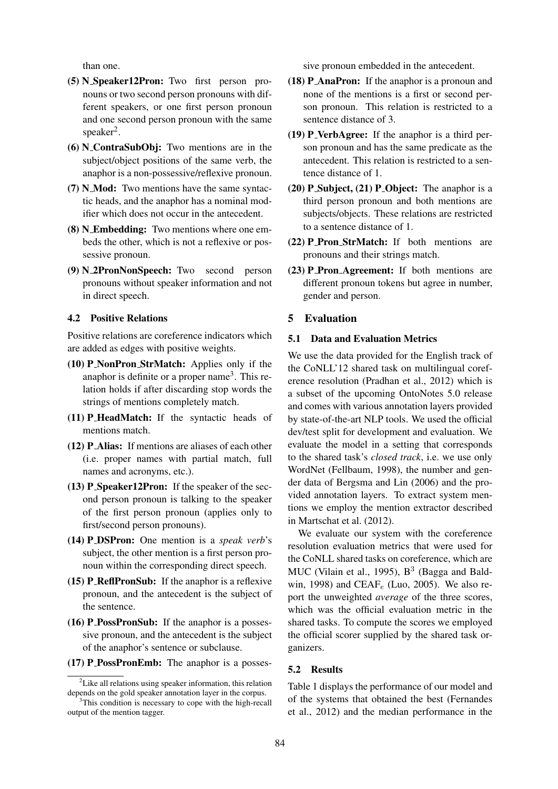than one.

- (5) N Speaker12Pron: Two first person pronouns or two second person pronouns with different speakers, or one first person pronoun and one second person pronoun with the same  $s$ peaker<sup>2</sup>.
- (6) N ContraSubObj: Two mentions are in the subject/object positions of the same verb, the anaphor is a non-possessive/reflexive pronoun.
- (7) N Mod: Two mentions have the same syntactic heads, and the anaphor has a nominal modifier which does not occur in the antecedent.
- (8) N Embedding: Two mentions where one embeds the other, which is not a reflexive or possessive pronoun.
- (9) N 2PronNonSpeech: Two second person pronouns without speaker information and not in direct speech.

#### 4.2 Positive Relations

Positive relations are coreference indicators which are added as edges with positive weights.

- (10) P NonPron StrMatch: Applies only if the anaphor is definite or a proper name<sup>3</sup>. This relation holds if after discarding stop words the strings of mentions completely match.
- $(11)$  **P\_HeadMatch:** If the syntactic heads of mentions match.
- (12) P Alias: If mentions are aliases of each other (i.e. proper names with partial match, full names and acronyms, etc.).
- (13) P\_Speaker12Pron: If the speaker of the second person pronoun is talking to the speaker of the first person pronoun (applies only to first/second person pronouns).
- (14) P DSPron: One mention is a *speak verb*'s subject, the other mention is a first person pronoun within the corresponding direct speech.
- (15) **P\_ReflPronSub:** If the anaphor is a reflexive pronoun, and the antecedent is the subject of the sentence.
- $(16)$  **P\_PossPronSub:** If the anaphor is a possessive pronoun, and the antecedent is the subject of the anaphor's sentence or subclause.
- (17) P PossPronEmb: The anaphor is a posses-

sive pronoun embedded in the antecedent.

- (18) P AnaPron: If the anaphor is a pronoun and none of the mentions is a first or second person pronoun. This relation is restricted to a sentence distance of 3.
- (19) P VerbAgree: If the anaphor is a third person pronoun and has the same predicate as the antecedent. This relation is restricted to a sentence distance of 1.
- $(20)$  **P** Subject,  $(21)$  **P** Object: The anaphor is a third person pronoun and both mentions are subjects/objects. These relations are restricted to a sentence distance of 1.
- (22) **P\_Pron\_StrMatch:** If both mentions are pronouns and their strings match.
- (23) P Pron Agreement: If both mentions are different pronoun tokens but agree in number, gender and person.

## 5 Evaluation

#### 5.1 Data and Evaluation Metrics

We use the data provided for the English track of the CoNLL'12 shared task on multilingual coreference resolution (Pradhan et al., 2012) which is a subset of the upcoming OntoNotes 5.0 release and comes with various annotation layers provided by state-of-the-art NLP tools. We used the official dev/test split for development and evaluation. We evaluate the model in a setting that corresponds to the shared task's *closed track*, i.e. we use only WordNet (Fellbaum, 1998), the number and gender data of Bergsma and Lin (2006) and the provided annotation layers. To extract system mentions we employ the mention extractor described in Martschat et al. (2012).

We evaluate our system with the coreference resolution evaluation metrics that were used for the CoNLL shared tasks on coreference, which are MUC (Vilain et al., 1995),  $B<sup>3</sup>$  (Bagga and Baldwin, 1998) and CEAF<sub>e</sub> (Luo, 2005). We also report the unweighted *average* of the three scores, which was the official evaluation metric in the shared tasks. To compute the scores we employed the official scorer supplied by the shared task organizers.

#### 5.2 Results

Table 1 displays the performance of our model and of the systems that obtained the best (Fernandes et al., 2012) and the median performance in the

 ${}^{2}$ Like all relations using speaker information, this relation depends on the gold speaker annotation layer in the corpus.

<sup>&</sup>lt;sup>3</sup>This condition is necessary to cope with the high-recall output of the mention tagger.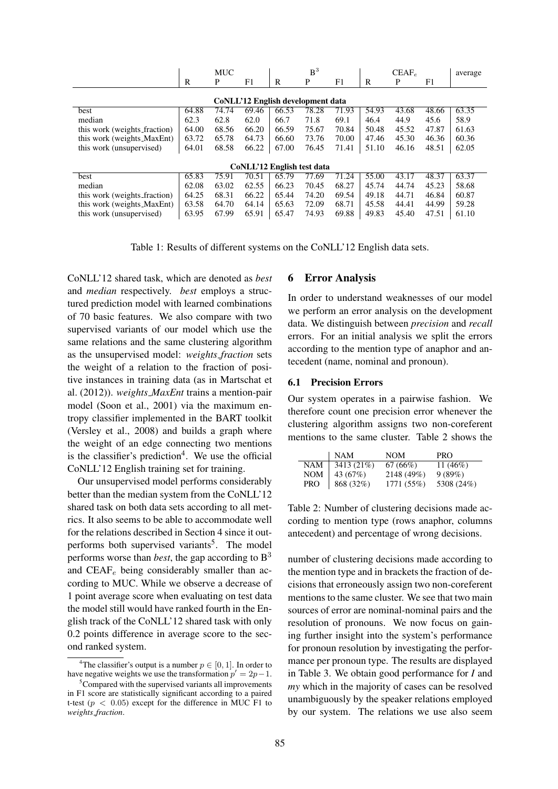|                                   |       | <b>MUC</b> |       |       | B <sup>3</sup> |       |       | $CEAF_e$ |       | average |
|-----------------------------------|-------|------------|-------|-------|----------------|-------|-------|----------|-------|---------|
|                                   | R     | P          | F1    | R     | P              | F1    | R     | P        | F1    |         |
| CoNLL'12 English development data |       |            |       |       |                |       |       |          |       |         |
| best                              | 64.88 | 74.74      | 69.46 | 66.53 | 78.28          | 71.93 | 54.93 | 43.68    | 48.66 | 63.35   |
| median                            | 62.3  | 62.8       | 62.0  | 66.7  | 71.8           | 69.1  | 46.4  | 44.9     | 45.6  | 58.9    |
| this work (weights fraction)      | 64.00 | 68.56      | 66.20 | 66.59 | 75.67          | 70.84 | 50.48 | 45.52    | 47.87 | 61.63   |
| this work (weights_MaxEnt)        | 63.72 | 65.78      | 64.73 | 66.60 | 73.76          | 70.00 | 47.46 | 45.30    | 46.36 | 60.36   |
| this work (unsupervised)          | 64.01 | 68.58      | 66.22 | 67.00 | 76.45          | 71.41 | 51.10 | 46.16    | 48.51 | 62.05   |
| CoNLL'12 English test data        |       |            |       |       |                |       |       |          |       |         |
| best                              | 65.83 | 75.91      | 70.51 | 65.79 | 77.69          | 71.24 | 55.00 | 43.17    | 48.37 | 63.37   |
| median                            | 62.08 | 63.02      | 62.55 | 66.23 | 70.45          | 68.27 | 45.74 | 44.74    | 45.23 | 58.68   |
| this work (weights fraction)      | 64.25 | 68.31      | 66.22 | 65.44 | 74.20          | 69.54 | 49.18 | 44.71    | 46.84 | 60.87   |
| this work (weights_MaxEnt)        | 63.58 | 64.70      | 64.14 | 65.63 | 72.09          | 68.71 | 45.58 | 44.41    | 44.99 | 59.28   |
| this work (unsupervised)          | 63.95 | 67.99      | 65.91 | 65.47 | 74.93          | 69.88 | 49.83 | 45.40    | 47.51 | 61.10   |

Table 1: Results of different systems on the CoNLL'12 English data sets.

CoNLL'12 shared task, which are denoted as *best* and *median* respectively. *best* employs a structured prediction model with learned combinations of 70 basic features. We also compare with two supervised variants of our model which use the same relations and the same clustering algorithm as the unsupervised model: *weights fraction* sets the weight of a relation to the fraction of positive instances in training data (as in Martschat et al. (2012)). *weights MaxEnt* trains a mention-pair model (Soon et al., 2001) via the maximum entropy classifier implemented in the BART toolkit (Versley et al., 2008) and builds a graph where the weight of an edge connecting two mentions is the classifier's prediction<sup>4</sup>. We use the official CoNLL'12 English training set for training.

Our unsupervised model performs considerably better than the median system from the CoNLL'12 shared task on both data sets according to all metrics. It also seems to be able to accommodate well for the relations described in Section 4 since it outperforms both supervised variants<sup>5</sup>. The model performs worse than *best*, the gap according to B<sup>3</sup> and  $CEAF_e$  being considerably smaller than according to MUC. While we observe a decrease of 1 point average score when evaluating on test data the model still would have ranked fourth in the English track of the CoNLL'12 shared task with only 0.2 points difference in average score to the second ranked system.

### 6 Error Analysis

In order to understand weaknesses of our model we perform an error analysis on the development data. We distinguish between *precision* and *recall* errors. For an initial analysis we split the errors according to the mention type of anaphor and antecedent (name, nominal and pronoun).

#### 6.1 Precision Errors

Our system operates in a pairwise fashion. We therefore count one precision error whenever the clustering algorithm assigns two non-coreferent mentions to the same cluster. Table 2 shows the

|            | <b>NAM</b> | <b>NOM</b> | PRO        |
|------------|------------|------------|------------|
| <b>NAM</b> | 3413 (21%) | 67(66%)    | 11 $(46%)$ |
| NOM        | 43 (67\%)  | 2148 (49%) | 9(89%)     |
| PRO        | 868 (32%)  | 1771 (55%) | 5308 (24%) |

Table 2: Number of clustering decisions made according to mention type (rows anaphor, columns antecedent) and percentage of wrong decisions.

number of clustering decisions made according to the mention type and in brackets the fraction of decisions that erroneously assign two non-coreferent mentions to the same cluster. We see that two main sources of error are nominal-nominal pairs and the resolution of pronouns. We now focus on gaining further insight into the system's performance for pronoun resolution by investigating the performance per pronoun type. The results are displayed in Table 3. We obtain good performance for *I* and *my* which in the majority of cases can be resolved unambiguously by the speaker relations employed by our system. The relations we use also seem

<sup>&</sup>lt;sup>4</sup>The classifier's output is a number  $p \in [0, 1]$ . In order to have negative weights we use the transformation  $p' = 2p - 1$ .

 ${}^{5}$ Compared with the supervised variants all improvements in F1 score are statistically significant according to a paired t-test ( $p < 0.05$ ) except for the difference in MUC F1 to *weights fraction*.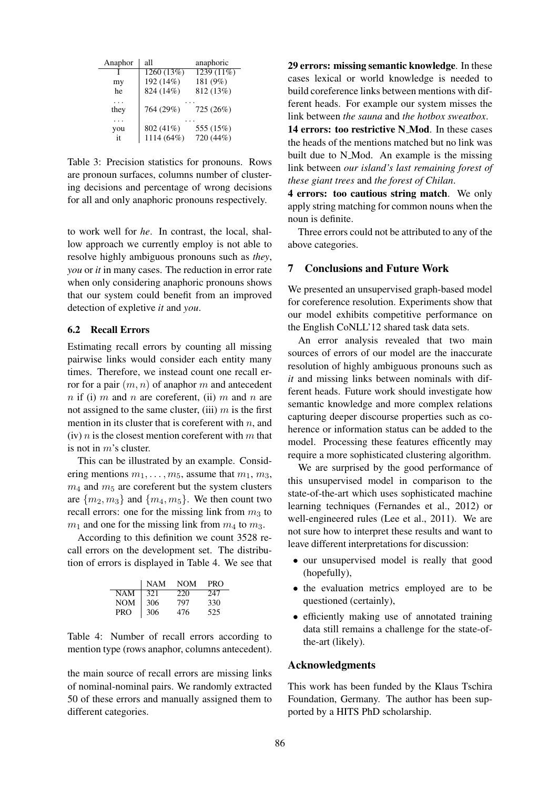| Anaphor   | all                     | anaphoric              |
|-----------|-------------------------|------------------------|
|           | 1260 (13%)              | $1239(11\%)$           |
| my        | 192 (14%)               | 181 (9%)               |
| he        | 824 (14%)               | 812 (13%)              |
| they      | 764 (29%)               | 725 (26%)              |
| you<br>it | 802 (41%)<br>1114 (64%) | 555 (15%)<br>720 (44%) |

Table 3: Precision statistics for pronouns. Rows are pronoun surfaces, columns number of clustering decisions and percentage of wrong decisions for all and only anaphoric pronouns respectively.

to work well for *he*. In contrast, the local, shallow approach we currently employ is not able to resolve highly ambiguous pronouns such as *they*, *you* or *it* in many cases. The reduction in error rate when only considering anaphoric pronouns shows that our system could benefit from an improved detection of expletive *it* and *you*.

### 6.2 Recall Errors

Estimating recall errors by counting all missing pairwise links would consider each entity many times. Therefore, we instead count one recall error for a pair  $(m, n)$  of anaphor m and antecedent n if (i) m and n are coreferent, (ii) m and n are not assigned to the same cluster, (iii)  $m$  is the first mention in its cluster that is coreferent with  $n$ , and (iv)  $n$  is the closest mention coreferent with  $m$  that is not in m's cluster.

This can be illustrated by an example. Considering mentions  $m_1, \ldots, m_5$ , assume that  $m_1, m_3$ ,  $m_4$  and  $m_5$  are coreferent but the system clusters are  $\{m_2, m_3\}$  and  $\{m_4, m_5\}$ . We then count two recall errors: one for the missing link from  $m_3$  to  $m_1$  and one for the missing link from  $m_4$  to  $m_3$ .

According to this definition we count 3528 recall errors on the development set. The distribution of errors is displayed in Table 4. We see that

|            | <b>NAM</b> | NOM | <b>PRO</b> |
|------------|------------|-----|------------|
| NAM        | 321        | 220 | 247        |
| <b>NOM</b> | 306        | 797 | 330        |
| PRO        | 306        | 476 | 525        |

Table 4: Number of recall errors according to mention type (rows anaphor, columns antecedent).

the main source of recall errors are missing links of nominal-nominal pairs. We randomly extracted 50 of these errors and manually assigned them to different categories.

29 errors: missing semantic knowledge. In these cases lexical or world knowledge is needed to build coreference links between mentions with different heads. For example our system misses the link between *the sauna* and *the hotbox sweatbox*.

14 errors: too restrictive N Mod. In these cases the heads of the mentions matched but no link was built due to N\_Mod. An example is the missing link between *our island's last remaining forest of these giant trees* and *the forest of Chilan*.

4 errors: too cautious string match. We only apply string matching for common nouns when the noun is definite.

Three errors could not be attributed to any of the above categories.

### 7 Conclusions and Future Work

We presented an unsupervised graph-based model for coreference resolution. Experiments show that our model exhibits competitive performance on the English CoNLL'12 shared task data sets.

An error analysis revealed that two main sources of errors of our model are the inaccurate resolution of highly ambiguous pronouns such as *it* and missing links between nominals with different heads. Future work should investigate how semantic knowledge and more complex relations capturing deeper discourse properties such as coherence or information status can be added to the model. Processing these features efficently may require a more sophisticated clustering algorithm.

We are surprised by the good performance of this unsupervised model in comparison to the state-of-the-art which uses sophisticated machine learning techniques (Fernandes et al., 2012) or well-engineered rules (Lee et al., 2011). We are not sure how to interpret these results and want to leave different interpretations for discussion:

- our unsupervised model is really that good (hopefully),
- the evaluation metrics employed are to be questioned (certainly),
- efficiently making use of annotated training data still remains a challenge for the state-ofthe-art (likely).

#### Acknowledgments

This work has been funded by the Klaus Tschira Foundation, Germany. The author has been supported by a HITS PhD scholarship.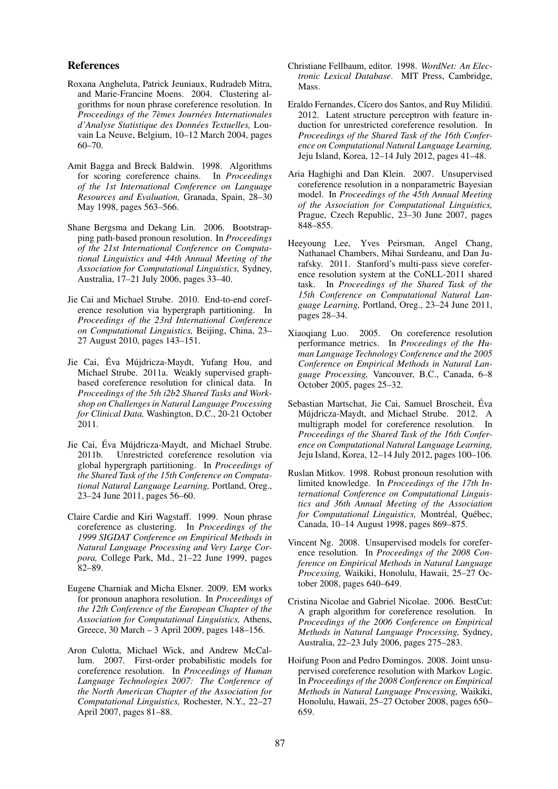#### References

- Roxana Angheluta, Patrick Jeuniaux, Rudradeb Mitra, and Marie-Francine Moens. 2004. Clustering algorithms for noun phrase coreference resolution. In *Proceedings of the 7èmes Journées Internationales d'Analyse Statistique des Donnees Textuelles, ´* Louvain La Neuve, Belgium, 10–12 March 2004, pages 60–70.
- Amit Bagga and Breck Baldwin. 1998. Algorithms for scoring coreference chains. In *Proceedings of the 1st International Conference on Language Resources and Evaluation,* Granada, Spain, 28–30 May 1998, pages 563–566.
- Shane Bergsma and Dekang Lin. 2006. Bootstrapping path-based pronoun resolution. In *Proceedings of the 21st International Conference on Computational Linguistics and 44th Annual Meeting of the Association for Computational Linguistics,* Sydney, Australia, 17–21 July 2006, pages 33–40.
- Jie Cai and Michael Strube. 2010. End-to-end coreference resolution via hypergraph partitioning. In *Proceedings of the 23rd International Conference on Computational Linguistics,* Beijing, China, 23– 27 August 2010, pages 143–151.
- Jie Cai, Éva Mújdricza-Maydt, Yufang Hou, and Michael Strube. 2011a. Weakly supervised graphbased coreference resolution for clinical data. In *Proceedings of the 5th i2b2 Shared Tasks and Workshop on Challenges in Natural Language Processing for Clinical Data,* Washington, D.C., 20-21 October 2011.
- Jie Cai, Éva Mújdricza-Maydt, and Michael Strube. 2011b. Unrestricted coreference resolution via global hypergraph partitioning. In *Proceedings of the Shared Task of the 15th Conference on Computational Natural Language Learning,* Portland, Oreg., 23–24 June 2011, pages 56–60.
- Claire Cardie and Kiri Wagstaff. 1999. Noun phrase coreference as clustering. In *Proceedings of the 1999 SIGDAT Conference on Empirical Methods in Natural Language Processing and Very Large Corpora,* College Park, Md., 21–22 June 1999, pages 82–89.
- Eugene Charniak and Micha Elsner. 2009. EM works for pronoun anaphora resolution. In *Proceedings of the 12th Conference of the European Chapter of the Association for Computational Linguistics,* Athens, Greece, 30 March – 3 April 2009, pages 148–156.
- Aron Culotta, Michael Wick, and Andrew McCallum. 2007. First-order probabilistic models for coreference resolution. In *Proceedings of Human Language Technologies 2007: The Conference of the North American Chapter of the Association for Computational Linguistics,* Rochester, N.Y., 22–27 April 2007, pages 81–88.
- Christiane Fellbaum, editor. 1998. *WordNet: An Electronic Lexical Database*. MIT Press, Cambridge, Mass.
- Eraldo Fernandes, Cícero dos Santos, and Ruy Milidiú. 2012. Latent structure perceptron with feature induction for unrestricted coreference resolution. In *Proceedings of the Shared Task of the 16th Conference on Computational Natural Language Learning,* Jeju Island, Korea, 12–14 July 2012, pages 41–48.
- Aria Haghighi and Dan Klein. 2007. Unsupervised coreference resolution in a nonparametric Bayesian model. In *Proceedings of the 45th Annual Meeting of the Association for Computational Linguistics,* Prague, Czech Republic, 23–30 June 2007, pages 848–855.
- Heeyoung Lee, Yves Peirsman, Angel Chang, Nathanael Chambers, Mihai Surdeanu, and Dan Jurafsky. 2011. Stanford's multi-pass sieve coreference resolution system at the CoNLL-2011 shared task. In *Proceedings of the Shared Task of the 15th Conference on Computational Natural Language Learning,* Portland, Oreg., 23–24 June 2011, pages 28–34.
- Xiaoqiang Luo. 2005. On coreference resolution performance metrics. In *Proceedings of the Human Language Technology Conference and the 2005 Conference on Empirical Methods in Natural Language Processing,* Vancouver, B.C., Canada, 6–8 October 2005, pages 25–32.
- Sebastian Martschat, Jie Cai, Samuel Broscheit, Eva ´ Mújdricza-Maydt, and Michael Strube. 2012. A multigraph model for coreference resolution. In *Proceedings of the Shared Task of the 16th Conference on Computational Natural Language Learning,* Jeju Island, Korea, 12–14 July 2012, pages 100–106.
- Ruslan Mitkov. 1998. Robust pronoun resolution with limited knowledge. In *Proceedings of the 17th International Conference on Computational Linguistics and 36th Annual Meeting of the Association for Computational Linguistics, Montréal, Québec,* Canada, 10–14 August 1998, pages 869–875.
- Vincent Ng. 2008. Unsupervised models for coreference resolution. In *Proceedings of the 2008 Conference on Empirical Methods in Natural Language Processing,* Waikiki, Honolulu, Hawaii, 25–27 October 2008, pages 640–649.
- Cristina Nicolae and Gabriel Nicolae. 2006. BestCut: A graph algorithm for coreference resolution. In *Proceedings of the 2006 Conference on Empirical Methods in Natural Language Processing,* Sydney, Australia, 22–23 July 2006, pages 275–283.
- Hoifung Poon and Pedro Domingos. 2008. Joint unsupervised coreference resolution with Markov Logic. In *Proceedings of the 2008 Conference on Empirical Methods in Natural Language Processing,* Waikiki, Honolulu, Hawaii, 25–27 October 2008, pages 650– 659.